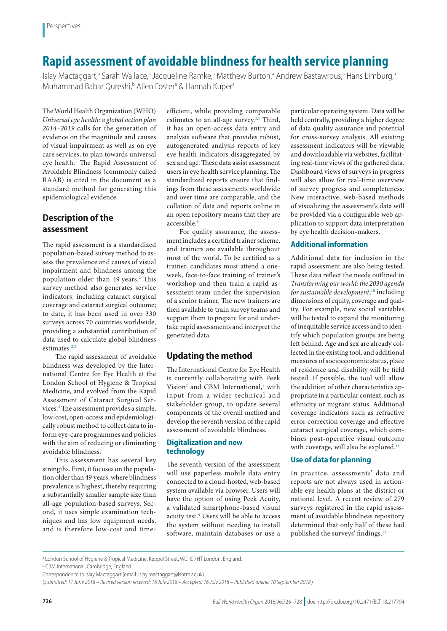# **Rapid assessment of avoidable blindness for health service planning**

Islay Mactaggart,<sup>a</sup> Sarah Wallace,<sup>a</sup> Jacqueline Ramke,<sup>a</sup> Matthew Burton,<sup>a</sup> Andrew Bastawrous,<sup>a</sup> Hans Limburg,<sup>a</sup> Muhammad Babar Qureshi,<sup>b</sup> Allen Foster<sup>a</sup> & Hannah Kuper<sup>a</sup>

The World Health Organization (WHO) *Universal eye health: a global action plan 2014–2019* calls for the generation of evidence on the magnitude and causes of visual impairment as well as on eye care services, to plan towards universal eye health.<sup>[1](#page-1-0)</sup> The Rapid Assessment of Avoidable Blindness (commonly called RAAB) is cited in the document as a standard method for generating this epidemiological evidence.

# **Description of the assessment**

The rapid assessment is a standardized population-based survey method to assess the prevalence and causes of visual impairment and blindness among the population older than 49 years.<sup>[2](#page-1-1)</sup> This survey method also generates service indicators, including cataract surgical coverage and cataract surgical outcome; to date, it has been used in over 330 surveys across 70 countries worldwide, providing a substantial contribution of data used to calculate global blindness estimates. $2,3$  $2,3$ 

The rapid assessment of avoidable blindness was developed by the International Centre for Eye Health at the London School of Hygiene & Tropical Medicine, and evolved from the Rapid Assessment of Cataract Surgical Services[.4](#page-1-3) The assessment provides a simple, low-cost, open-access and epidemiologically robust method to collect data to inform eye-care programmes and policies with the aim of reducing or eliminating avoidable blindness.

This assessment has several key strengths. First, it focuses on the population older than 49 years, where blindness prevalence is highest, thereby requiring a substantially smaller sample size than all-age population-based surveys. Second, it uses simple examination techniques and has low equipment needs, and is therefore low-cost and timeefficient, while providing comparable estimates to an all-age survey.<sup>[2,](#page-1-1)[5](#page-1-4)</sup> Third, it has an open-access data entry and analysis software that provides robust, autogenerated analysis reports of key eye health indicators disaggregated by sex and age. These data assist assessment users in eye health service planning. The standardized reports ensure that findings from these assessments worldwide and over time are comparable, and the collation of data and reports online in an open repository means that they are accessible.<sup>[6](#page-1-5)</sup>

For quality assurance, the assessment includes a certified trainer scheme, and trainers are available throughout most of the world. To be certified as a trainer, candidates must attend a oneweek, face-to-face training of trainer's workshop and then train a rapid assessment team under the supervision of a senior trainer. The new trainers are then available to train survey teams and support them to prepare for and undertake rapid assessments and interpret the generated data.

## **Updating the method**

The International Centre for Eye Health is currently collaborating with Peek Vision<sup>[7](#page-1-6)</sup> and CBM International,<sup>[8](#page-1-7)</sup> with input from a wider technical and stakeholder group, to update several components of the overall method and develop the seventh version of the rapid assessment of avoidable blindness.

#### **Digitalization and new technology**

The seventh version of the assessment will use paperless mobile data entry connected to a cloud-hosted, web-based system available via browser. Users will have the option of using Peek Acuity, a validated smartphone-based visual acuity test.<sup>[9](#page-1-8)</sup> Users will be able to access the system without needing to install software, maintain databases or use a particular operating system. Data will be held centrally, providing a higher degree of data quality assurance and potential for cross-survey analysis. All existing assessment indicators will be viewable and downloadable via websites, facilitating real-time views of the gathered data. Dashboard views of surveys in progress will also allow for real-time overview of survey progress and completeness. New interactive, web-based methods of visualizing the assessment's data will be provided via a configurable web application to support data interpretation by eye health decision-makers.

### **Additional information**

Additional data for inclusion in the rapid assessment are also being tested. These data reflect the needs outlined in *Transforming our world: the 2030 agenda for sustainable development*, [10](#page-1-9) including dimensions of equity, coverage and quality. For example, new social variables will be tested to expand the monitoring of inequitable service access and to identify which population groups are being left behind. Age and sex are already collected in the existing tool, and additional measures of socioeconomic status, place of residence and disability will be field tested. If possible, the tool will allow the addition of other characteristics appropriate in a particular context, such as ethnicity or migrant status. Additional coverage indicators such as refractive error correction coverage and effective cataract surgical coverage, which combines post-operative visual outcome with coverage, will also be explored.<sup>[11](#page-1-10)</sup>

### **Use of data for planning**

In practice, assessments' data and reports are not always used in actionable eye health plans at the district or national level. A recent review of 279 surveys registered in the rapid assessment of avoidable blindness repository determined that only half of these had published the surveys' findings[.12](#page-1-11)

a London School of Hygiene & Tropical Medicine, Keppel Street, WC1E 7HT London, England.

**b** CBM International, Cambridge, England.

Correspondence to Islay Mactaggart (email: islay.mactaggart@lshtm.ac.uk).

<sup>(</sup>*Submitted: 11 June 2018 – Revised version received: 16 July 2018 – Accepted: 16 July 2018 – Published online: 10 September 2018* )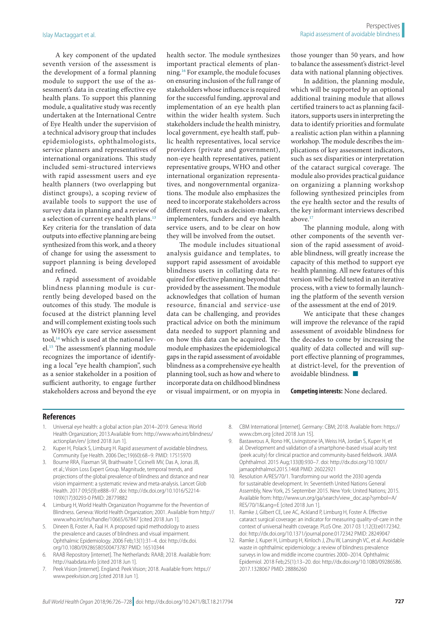A key component of the updated seventh version of the assessment is the development of a formal planning module to support the use of the assessment's data in creating effective eye health plans. To support this planning module, a qualitative study was recently undertaken at the International Centre of Eye Health under the supervision of a technical advisory group that includes epidemiologists, ophthalmologists, service planners and representatives of international organizations. This study included semi-structured interviews with rapid assessment users and eye health planners (two overlapping but distinct groups), a scoping review of available tools to support the use of survey data in planning and a review of a selection of current eye health plans.<sup>[13](#page-2-0)</sup> Key criteria for the translation of data outputs into effective planning are being synthesized from this work, and a theory of change for using the assessment to support planning is being developed and refined.

A rapid assessment of avoidable blindness planning module is currently being developed based on the outcomes of this study. The module is focused at the district planning level and will complement existing tools such as WHO's eye care service assessment tool, $14$  which is used at the national level[.15](#page-2-2) The assessment's planning module recognizes the importance of identifying a local "eye health champion", such as a senior stakeholder in a position of sufficient authority, to engage further stakeholders across and beyond the eye health sector. The module synthesizes important practical elements of planning.[16](#page-2-3) For example, the module focuses on ensuring inclusion of the full range of stakeholders whose influence is required for the successful funding, approval and implementation of an eye health plan within the wider health system. Such stakeholders include the health ministry, local government, eye health staff, public health representatives, local service providers (private and government), non-eye health representatives, patient representative groups, WHO and other international organization representatives, and nongovernmental organizations. The module also emphasizes the need to incorporate stakeholders across different roles, such as decision-makers, implementers, funders and eye health service users, and to be clear on how they will be involved from the outset.

The module includes situational analysis guidance and templates, to support rapid assessment of avoidable blindness users in collating data required for effective planning beyond that provided by the assessment. The module acknowledges that collation of human resource, financial and service-use data can be challenging, and provides practical advice on both the minimum data needed to support planning and on how this data can be acquired. The module emphasizes the epidemiological gaps in the rapid assessment of avoidable blindness as a comprehensive eye health planning tool, such as how and where to incorporate data on childhood blindness or visual impairment, or on myopia in those younger than 50 years, and how to balance the assessment's district-level data with national planning objectives.

In addition, the planning module, which will be supported by an optional additional training module that allows certified trainers to act as planning facilitators, supports users in interpreting the data to identify priorities and formulate a realistic action plan within a planning workshop. The module describes the implications of key assessment indicators, such as sex disparities or interpretation of the cataract surgical coverage. The module also provides practical guidance on organizing a planning workshop following synthesized principles from the eye health sector and the results of the key informant interviews described above.<sup>17</sup>

The planning module, along with other components of the seventh version of the rapid assessment of avoidable blindness, will greatly increase the capacity of this method to support eye health planning. All new features of this version will be field tested in an iterative process, with a view to formally launching the platform of the seventh version of the assessment at the end of 2019.

We anticipate that these changes will improve the relevance of the rapid assessment of avoidable blindness for the decades to come by increasing the quality of data collected and will support effective planning of programmes, at district-level, for the prevention of avoidable blindness. ■

**Competing interests:** None declared.

#### **References**

- <span id="page-1-0"></span>1. Universal eye health: a global action plan 2014–2019. Geneva: World Health Organization; 2013.Available from: [http://www.who.int/blindness/](http://www.who.int/blindness/actionplan/en/) [actionplan/en/](http://www.who.int/blindness/actionplan/en/) [cited 2018 Jun 1].
- <span id="page-1-1"></span>2. Kuper H, Polack S, Limburg H. Rapid assessment of avoidable blindness. Community Eye Health. 2006 Dec;19(60):68–9. PMID: [17515970](http://www.ncbi.nlm.nih.gov/pubmed/17515970)
- <span id="page-1-2"></span>3. Bourne RRA, Flaxman SR, Braithwaite T, Cicinelli MV, Das A, Jonas JB, et al.; Vision Loss Expert Group. Magnitude, temporal trends, and projections of the global prevalence of blindness and distance and near vision impairment: a systematic review and meta-analysis. Lancet Glob Health. 2017 09;5(9):e888–97. doi: [http://dx.doi.org/10.1016/S2214-](http://dx.doi.org/10.1016/S2214-109X(17)30293-0) [109X\(17\)30293-0](http://dx.doi.org/10.1016/S2214-109X(17)30293-0) PMID: [28779882](http://www.ncbi.nlm.nih.gov/pubmed/28779882)
- <span id="page-1-3"></span>4. Limburg H, World Health Organization Programme for the Prevention of Blindness. Geneva: World Health Organization; 2001. Available from [http://](http://www.who.int/iris/handle/10665/67847) [www.who.int/iris/handle/10665/67847](http://www.who.int/iris/handle/10665/67847) [cited 2018 Jun 1].
- <span id="page-1-4"></span>5. Dineen B, Foster A, Faal H. A proposed rapid methodology to assess the prevalence and causes of blindness and visual impairment. Ophthalmic Epidemiology. 2006 Feb;13(1):31–4. doi: [http://dx.doi.](http://dx.doi.org/10.1080/09286580500473787) [org/10.1080/09286580500473787](http://dx.doi.org/10.1080/09286580500473787) PMID: [16510344](http://www.ncbi.nlm.nih.gov/pubmed/16510344)
- <span id="page-1-5"></span>RAAB Repository [internet]. The Netherlands: RAAB; 2018. Available from: <http://raabdata.info>[cited 2018 Jun 1].
- <span id="page-1-6"></span>7. Peek Vision [internet]. England: Peek Vision; 2018. Available from: [https://](https://www.peekvision.org) [www.peekvision.org](https://www.peekvision.org) [cited 2018 Jun 1].
- <span id="page-1-7"></span>8. CBM International [internet]. Germany: CBM; 2018. Available from: [https://](https://www.cbm.org) [www.cbm.org](https://www.cbm.org) [cited 2018 Jun 15].
- <span id="page-1-8"></span>9. Bastawrous A, Rono HK, Livingstone IA, Weiss HA, Jordan S, Kuper H, et al. Development and validation of a smartphone-based visual acuity test (peek acuity) for clinical practice and community-based fieldwork. JAMA Ophthalmol. 2015 Aug;133(8):930–7. doi: [http://dx.doi.org/10.1001/](http://dx.doi.org/10.1001/jamaophthalmol.2015.1468) [jamaophthalmol.2015.1468](http://dx.doi.org/10.1001/jamaophthalmol.2015.1468) PMID: [26022921](http://www.ncbi.nlm.nih.gov/pubmed/26022921)
- <span id="page-1-9"></span>10. Resolution A/RES/70/1. Transforming our world: the 2030 agenda for sustainable development. In: Seventieth United Nations General Assembly, New York, 25 September 2015. New York: United Nations; 2015. Available from: [http://www.un.org/ga/search/view\\_doc.asp?symbol=A/](http://www.un.org/ga/search/view_doc.asp?symbol=A/RES/70/1&Lang=E) [RES/70/1&Lang=E](http://www.un.org/ga/search/view_doc.asp?symbol=A/RES/70/1&Lang=E) [cited 2018 Jun 1].
- <span id="page-1-10"></span>11. Ramke J, Gilbert CE, Lee AC, Ackland P, Limburg H, Foster A. Effective cataract surgical coverage: an indicator for measuring quality-of-care in the context of universal health coverage. PLoS One. 2017 03 1;12(3):e0172342. doi:<http://dx.doi.org/10.1371/journal.pone.0172342>PMID: [28249047](http://www.ncbi.nlm.nih.gov/pubmed/28249047)
- <span id="page-1-11"></span>12. Ramke J, Kuper H, Limburg H, Kinloch J, Zhu W, Lansingh VC, et al. Avoidable waste in ophthalmic epidemiology: a review of blindness prevalence surveys in low and middle income countries 2000–2014. Ophthalmic Epidemiol. 2018 Feb;25(1):13–20. doi: [http://dx.doi.org/10.1080/09286586.](http://dx.doi.org/10.1080/09286586.2017.1328067) [2017.1328067](http://dx.doi.org/10.1080/09286586.2017.1328067) PMID: [28886260](http://www.ncbi.nlm.nih.gov/pubmed/28886260)